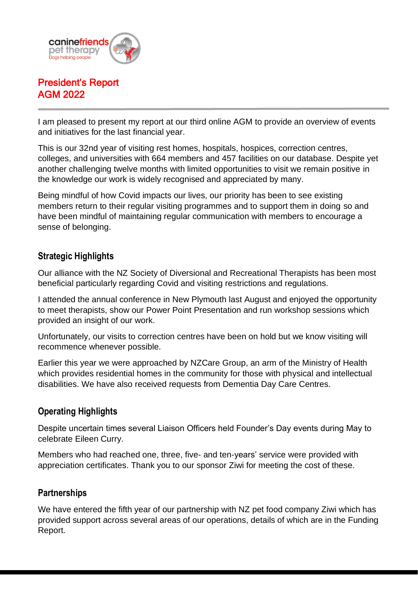

# President's Report AGM 2022

I am pleased to present my report at our third online AGM to provide an overview of events and initiatives for the last financial year.

This is our 32nd year of visiting rest homes, hospitals, hospices, correction centres, colleges, and universities with 664 members and 457 facilities on our database. Despite yet another challenging twelve months with limited opportunities to visit we remain positive in the knowledge our work is widely recognised and appreciated by many.

Being mindful of how Covid impacts our lives, our priority has been to see existing members return to their regular visiting programmes and to support them in doing so and have been mindful of maintaining regular communication with members to encourage a sense of belonging.

## **Strategic Highlights**

Our alliance with the NZ Society of Diversional and Recreational Therapists has been most beneficial particularly regarding Covid and visiting restrictions and regulations.

I attended the annual conference in New Plymouth last August and enjoyed the opportunity to meet therapists, show our Power Point Presentation and run workshop sessions which provided an insight of our work.

Unfortunately, our visits to correction centres have been on hold but we know visiting will recommence whenever possible.

Earlier this year we were approached by NZCare Group, an arm of the Ministry of Health which provides residential homes in the community for those with physical and intellectual disabilities. We have also received requests from Dementia Day Care Centres.

## **Operating Highlights**

Despite uncertain times several Liaison Officers held Founder's Day events during May to celebrate Eileen Curry.

Members who had reached one, three, five- and ten-years' service were provided with appreciation certificates. Thank you to our sponsor Ziwi for meeting the cost of these.

#### **Partnerships**

We have entered the fifth year of our partnership with NZ pet food company Ziwi which has provided support across several areas of our operations, details of which are in the Funding Report.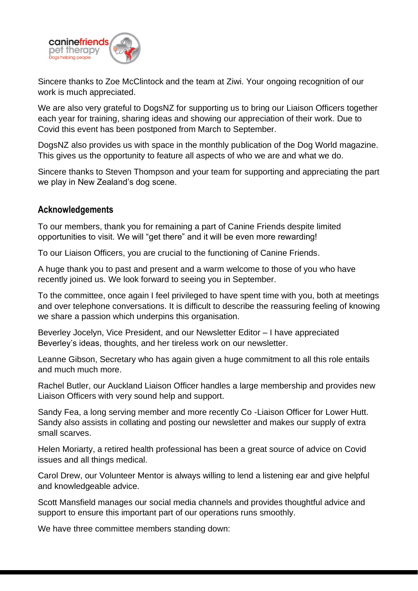

Sincere thanks to Zoe McClintock and the team at Ziwi. Your ongoing recognition of our work is much appreciated.

We are also very grateful to DogsNZ for supporting us to bring our Liaison Officers together each year for training, sharing ideas and showing our appreciation of their work. Due to Covid this event has been postponed from March to September.

DogsNZ also provides us with space in the monthly publication of the Dog World magazine. This gives us the opportunity to feature all aspects of who we are and what we do.

Sincere thanks to Steven Thompson and your team for supporting and appreciating the part we play in New Zealand's dog scene.

#### **Acknowledgements**

To our members, thank you for remaining a part of Canine Friends despite limited opportunities to visit. We will "get there" and it will be even more rewarding!

To our Liaison Officers, you are crucial to the functioning of Canine Friends.

A huge thank you to past and present and a warm welcome to those of you who have recently joined us. We look forward to seeing you in September.

To the committee, once again I feel privileged to have spent time with you, both at meetings and over telephone conversations. It is difficult to describe the reassuring feeling of knowing we share a passion which underpins this organisation.

Beverley Jocelyn, Vice President, and our Newsletter Editor – I have appreciated Beverley's ideas, thoughts, and her tireless work on our newsletter.

Leanne Gibson, Secretary who has again given a huge commitment to all this role entails and much much more.

Rachel Butler, our Auckland Liaison Officer handles a large membership and provides new Liaison Officers with very sound help and support.

Sandy Fea, a long serving member and more recently Co -Liaison Officer for Lower Hutt. Sandy also assists in collating and posting our newsletter and makes our supply of extra small scarves.

Helen Moriarty, a retired health professional has been a great source of advice on Covid issues and all things medical.

Carol Drew, our Volunteer Mentor is always willing to lend a listening ear and give helpful and knowledgeable advice.

Scott Mansfield manages our social media channels and provides thoughtful advice and support to ensure this important part of our operations runs smoothly.

We have three committee members standing down: